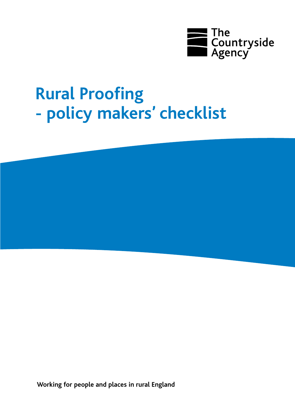

# **Rural Proofing - policy makers' checklist**

**Working for people and places in rural England**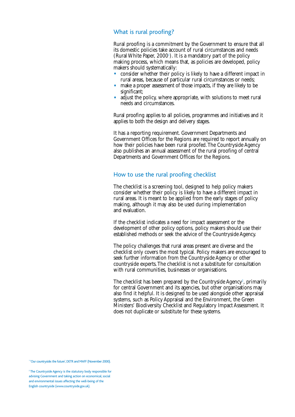## What is rural proofing?

Rural proofing is a commitment by the Government to ensure that all its domestic policies take account of rural circumstances and needs  $(Rural White Paper, 2000<sup>1</sup>)$ . It is a mandatory part of the policy making process, which means that, as policies are developed, policy makers should systematically:

- consider whether their policy is likely to have a different impact in rural areas, because of particular rural circumstances or needs;
- make a proper assessment of those impacts, if they are likely to be significant;
- adjust the policy, where appropriate, with solutions to meet rural needs and circumstances.

Rural proofing applies to all policies, programmes and initiatives and it applies to both the design and delivery stages.

It has a reporting requirement. Government Departments and Government Offices for the Regions are required to report annually on how their policies have been rural proofed.The Countryside Agency also publishes an annual assessment of the rural proofing of central Departments and Government Offices for the Regions.

#### How to use the rural proofing checklist

The checklist is a screening tool, designed to help policy makers consider whether their policy is likely to have a different impact in rural areas. It is meant to be applied from the early stages of policy making, although it may also be used during implementation and evaluation.

If the checklist indicates a need for impact assessment or the development of other policy options, policy makers should use their established methods or seek the advice of the Countryside Agency.

The policy challenges that rural areas present are diverse and the checklist only covers the most typical. Policy makers are encouraged to seek further information from the Countryside Agency or other countryside experts.The checklist is not a substitute for consultation with rural communities, businesses or organisations.

The checklist has been prepared by the Countryside Agency $^{\scriptscriptstyle 2}$ , primarily for central Government and its agencies, but other organisations may also find it helpful. It is designed to be used alongside other appraisal systems, such as Policy Appraisal and the Environment, the Green Ministers' Biodiversity Checklist and Regulatory Impact Assessment. It does not duplicate or substitute for these systems.

<sup>1</sup> 'Our countryside: the future', DETR and MAFF (November 2000).

<sup>2</sup> The Countryside Agency is the statutory body responsible for advising Government and taking action on economical, social and environmental issues affecting the well-being of the English countryside (www.countryside.gov.uk).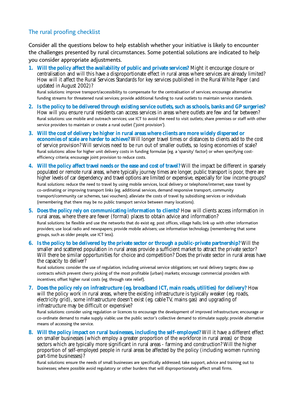# The rural proofing checklist

Consider all the questions below to help establish whether your initiative is likely to encounter the challenges presented by rural circumstances. Some potential solutions are indicated to help you consider appropriate adjustments.

**1. Will the policy affect the availability of public and private services?** Might it encourage closure or centralisation and will this have a disproportionate effect in rural areas where services are already limited? How will it affect the Rural Services Standards for key services published in the Rural White Paper (and updated in August 2002)?

Rural solutions: improve transport/accessibility to compensate for the centralisation of services; encourage alternative funding streams for threatened rural services; provide additional funding to rural outlets to maintain service standards.

- **2. Is the policy to be delivered through existing service outlets, such as schools, banks and GP surgeries?** How will you ensure rural residents can access services in areas where outlets are few and far between? Rural solutions: use mobile and outreach services; use ICT to avoid the need to visit outlets; share premises or staff with other service providers to maintain or create a rural outlet ('joint provision').
- **3. Will the cost of delivery be higher in rural areas where clients are more widely dispersed or economies of scale are harder to achieve?** Will longer travel times or distances to clients add to the cost of service provision? Will services need to be run out of smaller outlets, so losing economies of scale? Rural solutions: allow for higher unit delivery costs in funding formulae (eg. a 'sparsity' factor) or when specifying costefficiency criteria; encourage joint provision to reduce costs.
- **4. Will the policy affect travel needs or the ease and cost of travel?** Will the impact be different in sparsely populated or remote rural areas, where typically journey times are longer, public transport is poor, there are higher levels of car dependency and travel options are limited or expensive, especially for low income groups? Rural solutions: reduce the need to travel by using mobile services, local delivery or telephone/internet; ease travel by co-ordinating or improving transport links (eg. additional services, demand responsive transport, community transport/community car schemes, taxi vouchers); alleviate the costs of travel by subsidising services or individuals (remembering that there may be no public transport service between many locations).
- **5. Does the policy rely on communicating information to clients?** How will clients access information in rural areas, where there are fewer (formal) places to obtain advice and information? Rural solutions: be flexible and use the networks that do exist eg. post offices, village halls; link up with other information providers; use local radio and newspapers; provide mobile advisers; use information technology (remembering that some groups, such as older people, use ICT less).
- **6. Is the policy to be delivered by the private sector or through a public-private partnership?** Will the smaller and scattered population in rural areas provide a sufficient market to attract the private sector? Will there be similar opportunities for choice and competition? Does the private sector in rural areas have the capacity to deliver?

Rural solutions: consider the use of regulation, including universal service obligations; set rural delivery targets; draw up contracts which prevent cherry picking of the most profitable (urban) markets; encourage commercial providers with incentives; offset higher rural costs (eg. through rate relief).

**7. Does the policy rely on infrastructure (eg. broadband ICT, main roads, utilities) for delivery?** How will the policy work in rural areas, where the existing infrastructure is typically weaker (eg. roads, electricity grid), some infrastructure doesn't exist (eg. cable TV, mains gas) and upgrading of infrastructure may be difficult or expensive?

Rural solutions: consider using regulation or licences to encourage the development of improved infrastructure; encourage or co-ordinate demand to make supply viable; use the public sector's collective demand to stimulate supply; provide alternative means of accessing the service.

**8. Will the policy impact on rural businesses, including the self-employed?** Will it have a different effect on smaller businesses (which employ a greater proportion of the workforce in rural areas) or those sectors which are typically more significant in rural areas - farming and construction? Will the higher proportion of self-employed people in rural areas be affected by the policy (including women running part-time businesses)?

Rural solutions: ensure the needs of small businesses are specifically addressed; take support, advice and training out to businesses; where possible avoid regulatory or other burdens that will disproportionately affect small firms.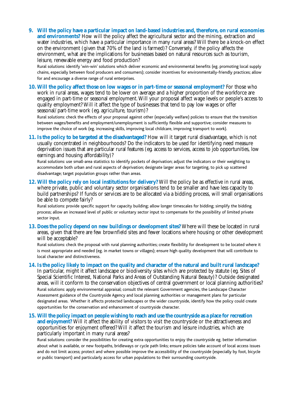**9. Will the policy have a particular impact on land-based industries and, therefore, on rural economies and environments?** How will the policy affect the agricultural sector and the mining, extraction and water industries, which have a particular importance in many rural areas? Will there be a knock-on effect on the environment (given that 70% of the land is farmed)? Conversely, if the policy affects the environment, what are the implications for businesses based on natural resources such as tourism, leisure, renewable energy and food production?

Rural solutions: identify 'win-win' solutions which deliver economic and environmental benefits (eg. promoting local supply chains, especially between food producers and consumers); consider incentives for environmentally-friendly practices; allow for and encourage a diverse range of rural enterprises.

**10. Will the policy affect those on low wages or in part-time or seasonal employment?** For those who work in rural areas, wages tend to be lower on average and a higher proportion of the workforce are engaged in part-time or seasonal employment. Will your proposal affect wage levels or people's access to quality employment? Will it affect the type of businesses that tend to pay low wages or offer seasonal/part-time work (eg. agriculture, tourism)?

Rural solutions: check the effects of your proposal against other (especially welfare) policies to ensure that the transition between wages/benefits and employment/unemployment is sufficiently flexible and supportive; consider measures to improve the choice of work (eg. increasing skills, improving local childcare, improving transport to work).

**11. Is the policy to be targeted at the disadvantaged?** How will it target rural disadvantage, which is not usually concentrated in neighbourhoods? Do the indicators to be used for identifying need measure deprivation issues that are particular rural features (eg. access to services, access to job opportunities, low earnings and housing affordability)?

Rural solutions: use small-area statistics to identify pockets of deprivation; adjust the indicators or their weighting to accommodate both urban and rural aspects of deprivation; designate larger areas for targeting, to pick up scattered disadvantage; target population groups rather than areas.

**12. Will the policy rely on local institutions for delivery?** Will the policy be as effective in rural areas, where private, public and voluntary sector organisations tend to be smaller and have less capacity to build partnerships? If funds or services are to be allocated via a bidding process, will small organisations be able to compete fairly?

Rural solutions: provide specific support for capacity building; allow longer timescales for bidding; simplify the bidding process; allow an increased level of public or voluntary sector input to compensate for the possibility of limited private sector input.

**13. Does the policy depend on new buildings or development sites?** Where will these be located in rural areas, given that there are few brownfield sites and fewer locations where housing or other development will be acceptable?

Rural solutions: check the proposal with rural planning authorities; create flexibility for development to be located where it is most appropriate and needed (eg. in market towns or villages); ensure high quality development that will contribute to local character and distinctiveness.

#### **14. Is the policy likely to impact on the quality and character of the natural and built rural landscape?**

In particular, might it affect landscape or biodiversity sites which are protected by statute (eg. Sites of Special Scientific Interest, National Parks and Areas of Outstanding Natural Beauty)? Outside designated areas, will it conform to the conservation objectives of central government or local planning authorities? Rural solutions: apply environmental appraisal; consult the relevant Government agencies, the Landscape Character Assessment guidance of the Countryside Agency and local planning authorities or management plans for particular designated areas. Whether it affects protected landscapes or the wider countryside, identify how the policy could create opportunities for the conservation and enhancement of countryside character.

**15. Will the policy impact on people wishing to reach and use the countryside as a place for recreation and enjoyment?** Will it affect the ability of visitors to visit the countryside or the attractiveness and opportunities for enjoyment offered? Will it affect the tourism and leisure industries, which are particularly important in many rural areas?

Rural solutions: consider the possibilities for creating extra opportunities to enjoy the countryside eg. better information about what is available, or new footpaths, bridleways or cycle path links; ensure policies take account of local access issues and do not limit access; protect and where possible improve the accessibility of the countryside (especially by foot, bicycle or public transport) and particularly access for urban populations to their surrounding countryside.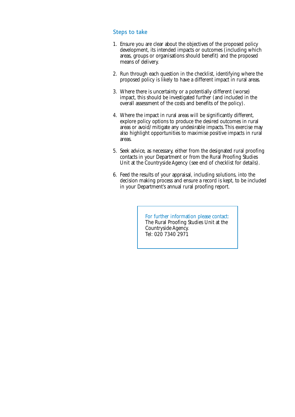## Steps to take

- 1. Ensure you are clear about the objectives of the proposed policy development, its intended impacts or outcomes (including which areas, groups or organisations should benefit) and the proposed means of delivery.
- 2. Run through each question in the checklist, identifying where the proposed policy is likely to have a different impact in rural areas.
- 3. Where there is uncertainty or a potentially different (worse) impact, this should be investigated further (and included in the overall assessment of the costs and benefits of the policy).
- 4. Where the impact in rural areas will be significantly different, explore policy options to produce the desired outcomes in rural areas or avoid/mitigate any undesirable impacts.This exercise may also highlight opportunities to maximise positive impacts in rural areas.
- 5. Seek advice, as necessary, either from the designated rural proofing contacts in your Department or from the Rural Proofing Studies Unit at the Countryside Agency (see end of checklist for details).
- 6. Feed the results of your appraisal, including solutions, into the decision making process and ensure a record is kept, to be included in your Department's annual rural proofing report.

For further information please contact: The Rural Proofing Studies Unit at the Countryside Agency. Tel: 020 7340 2971